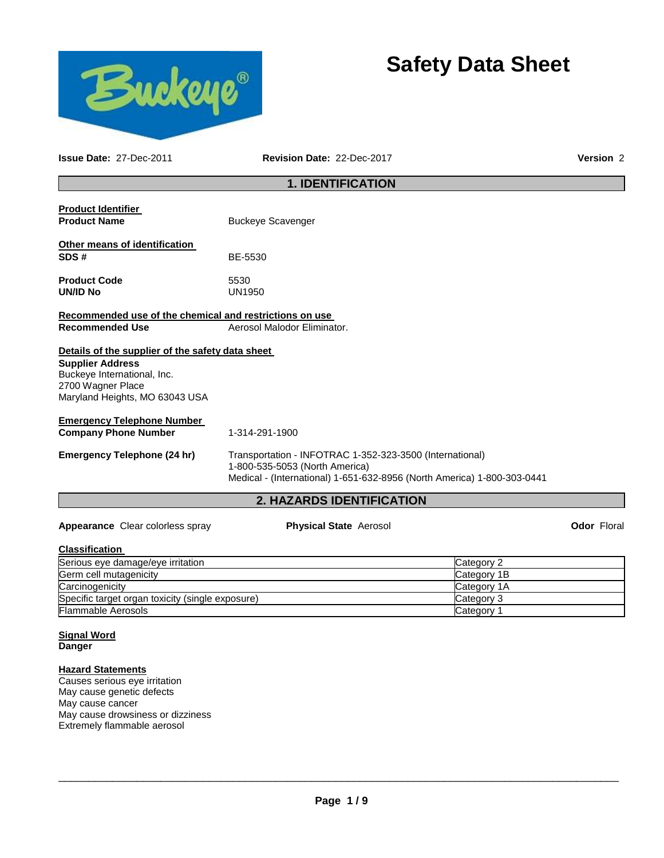



**Issue Date:** 27-Dec-2011 **Revision Date:** 22-Dec-2017 **Version** 2

# **1. IDENTIFICATION**

| <b>Emergency Telephone (24 hr)</b>                                          | Transportation - INFOTRAC 1-352-323-3500 (International)<br>1-800-535-5053 (North America)<br>Medical - (International) 1-651-632-8956 (North America) 1-800-303-0441 |  |
|-----------------------------------------------------------------------------|-----------------------------------------------------------------------------------------------------------------------------------------------------------------------|--|
| <b>Emergency Telephone Number</b><br><b>Company Phone Number</b>            | 1-314-291-1900                                                                                                                                                        |  |
| Maryland Heights, MO 63043 USA                                              |                                                                                                                                                                       |  |
| <b>Supplier Address</b><br>Buckeye International, Inc.<br>2700 Wagner Place |                                                                                                                                                                       |  |
| Details of the supplier of the safety data sheet                            |                                                                                                                                                                       |  |
| <b>Recommended Use</b>                                                      | Aerosol Malodor Eliminator.                                                                                                                                           |  |
| Recommended use of the chemical and restrictions on use                     |                                                                                                                                                                       |  |
| <b>Product Code</b><br><b>UN/ID No</b>                                      | 5530<br>UN1950                                                                                                                                                        |  |
| Other means of identification<br>SDS#                                       | BE-5530                                                                                                                                                               |  |
| <b>Product Name</b>                                                         | <b>Buckeye Scavenger</b>                                                                                                                                              |  |
| <b>Product Identifier</b>                                                   |                                                                                                                                                                       |  |

### **Classification**  Serious eye damage/eye irritation control control control category 2 category 2 Germ cell mutagenicity **Category 1B** and the control of the control of the control of the control of the control of the control of the control of the control of the control of the control of the control of the control of t Carcinogenicity Category 1A Specific target organ toxicity (single exposure) Category 3 Flammable Aerosols Category 1

#### **Signal Word Danger**

# **Hazard Statements**

Causes serious eye irritation May cause genetic defects May cause cancer May cause drowsiness or dizziness Extremely flammable aerosol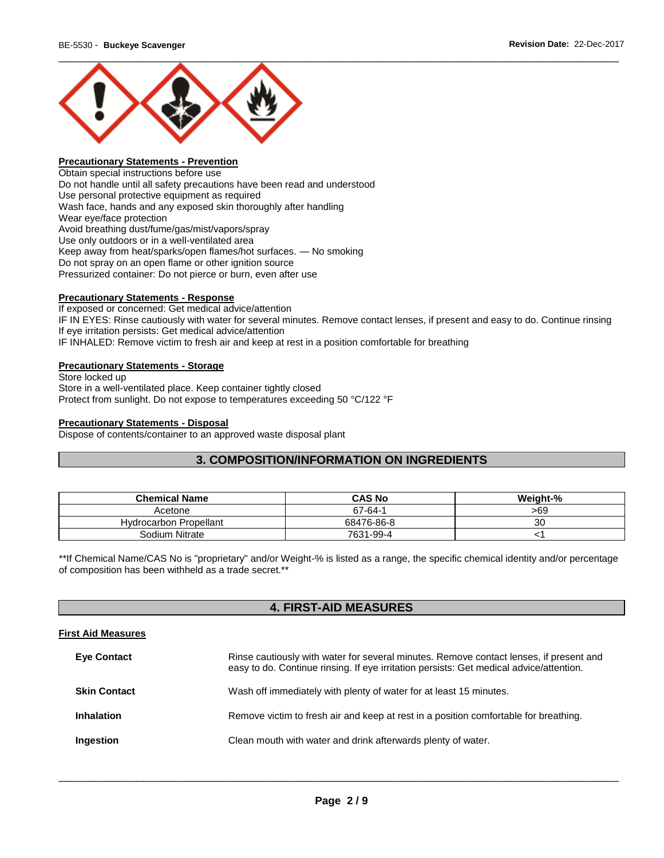

# **Precautionary Statements - Prevention**

Obtain special instructions before use Do not handle until all safety precautions have been read and understood Use personal protective equipment as required Wash face, hands and any exposed skin thoroughly after handling Wear eye/face protection Avoid breathing dust/fume/gas/mist/vapors/spray Use only outdoors or in a well-ventilated area Keep away from heat/sparks/open flames/hot surfaces. — No smoking Do not spray on an open flame or other ignition source Pressurized container: Do not pierce or burn, even after use

#### **Precautionary Statements - Response**

If exposed or concerned: Get medical advice/attention IF IN EYES: Rinse cautiously with water for several minutes. Remove contact lenses, if present and easy to do. Continue rinsing If eye irritation persists: Get medical advice/attention IF INHALED: Remove victim to fresh air and keep at rest in a position comfortable for breathing

#### **Precautionary Statements - Storage**

Store locked up Store in a well-ventilated place. Keep container tightly closed Protect from sunlight. Do not expose to temperatures exceeding 50 °C/122 °F

#### **Precautionary Statements - Disposal**

Dispose of contents/container to an approved waste disposal plant

# **3. COMPOSITION/INFORMATION ON INGREDIENTS**

| <b>Chemical Name</b>          | <b>CAS No</b> | Weight-% |
|-------------------------------|---------------|----------|
| Acetone                       | 67-64-1       | >69      |
| <b>Hydrocarbon Propellant</b> | 68476-86-8    | 30       |
| Sodium Nitrate                | 7631-99-4     |          |

\*\*If Chemical Name/CAS No is "proprietary" and/or Weight-% is listed as a range, the specific chemical identity and/or percentage of composition has been withheld as a trade secret.\*\*

# **4. FIRST-AID MEASURES**

#### **First Aid Measures**

| <b>Eye Contact</b>  | Rinse cautiously with water for several minutes. Remove contact lenses, if present and<br>easy to do. Continue rinsing. If eye irritation persists: Get medical advice/attention. |
|---------------------|-----------------------------------------------------------------------------------------------------------------------------------------------------------------------------------|
| <b>Skin Contact</b> | Wash off immediately with plenty of water for at least 15 minutes.                                                                                                                |
| <b>Inhalation</b>   | Remove victim to fresh air and keep at rest in a position comfortable for breathing.                                                                                              |
| Ingestion           | Clean mouth with water and drink afterwards plenty of water.                                                                                                                      |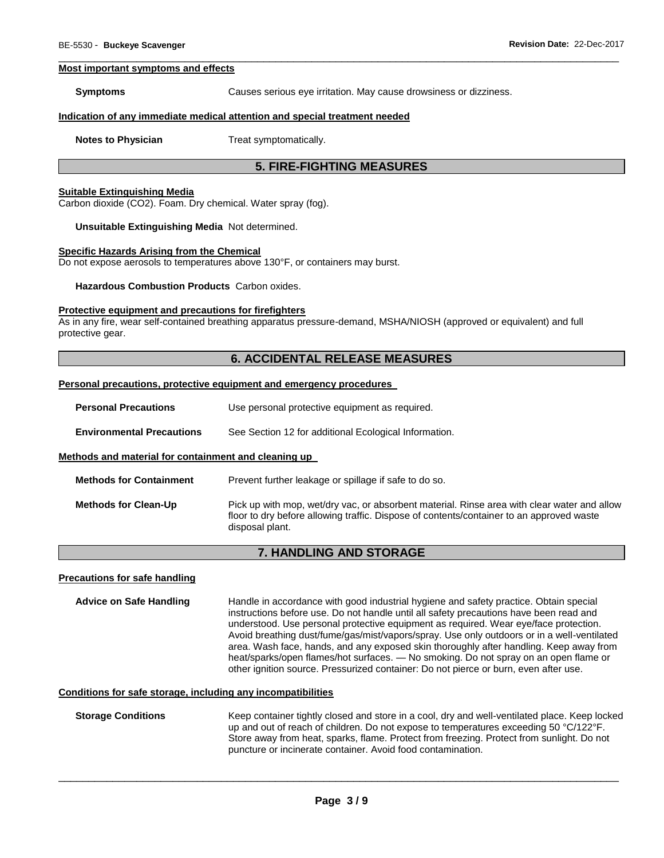#### **Most important symptoms and effects**

**Symptoms Causes serious eye irritation. May cause drowsiness or dizziness.** 

#### **Indication of any immediate medical attention and special treatment needed**

**Notes to Physician**  Treat symptomatically.

# **5. FIRE-FIGHTING MEASURES**

\_\_\_\_\_\_\_\_\_\_\_\_\_\_\_\_\_\_\_\_\_\_\_\_\_\_\_\_\_\_\_\_\_\_\_\_\_\_\_\_\_\_\_\_\_\_\_\_\_\_\_\_\_\_\_\_\_\_\_\_\_\_\_\_\_\_\_\_\_\_\_\_\_\_\_\_\_\_\_\_\_\_\_\_\_\_\_\_\_\_\_\_\_

#### **Suitable Extinguishing Media**

Carbon dioxide (CO2). Foam. Dry chemical. Water spray (fog).

**Unsuitable Extinguishing Media** Not determined.

#### **Specific Hazards Arising from the Chemical**

Do not expose aerosols to temperatures above 130°F, or containers may burst.

**Hazardous Combustion Products** Carbon oxides.

#### **Protective equipment and precautions for firefighters**

As in any fire, wear self-contained breathing apparatus pressure-demand, MSHA/NIOSH (approved or equivalent) and full protective gear.

# **6. ACCIDENTAL RELEASE MEASURES**

#### **Personal precautions, protective equipment and emergency procedures**

| <b>Personal Precautions</b> |  |  | Use personal protective equipment as required. |  |
|-----------------------------|--|--|------------------------------------------------|--|
|-----------------------------|--|--|------------------------------------------------|--|

**Environmental Precautions** See Section 12 for additional Ecological Information.

#### **Methods and material for containment and cleaning up**

| <b>Methods for Containment</b> | Prevent further leakage or spillage if safe to do so.                                                                                                                                                      |
|--------------------------------|------------------------------------------------------------------------------------------------------------------------------------------------------------------------------------------------------------|
| <b>Methods for Clean-Up</b>    | Pick up with mop, wet/dry vac, or absorbent material. Rinse area with clear water and allow<br>floor to dry before allowing traffic. Dispose of contents/container to an approved waste<br>disposal plant. |

#### **7. HANDLING AND STORAGE**

#### **Precautions for safe handling**

**Advice on Safe Handling** Handle in accordance with good industrial hygiene and safety practice. Obtain special instructions before use. Do not handle until all safety precautions have been read and understood. Use personal protective equipment as required. Wear eye/face protection. Avoid breathing dust/fume/gas/mist/vapors/spray. Use only outdoors or in a well-ventilated area. Wash face, hands, and any exposed skin thoroughly after handling. Keep away from heat/sparks/open flames/hot surfaces. — No smoking. Do not spray on an open flame or other ignition source. Pressurized container: Do not pierce or burn, even after use.

#### **Conditions for safe storage, including any incompatibilities**

#### **Storage Conditions** Keep container tightly closed and store in a cool, dry and well-ventilated place. Keep locked up and out of reach of children. Do not expose to temperatures exceeding 50 °C/122°F. Store away from heat, sparks, flame. Protect from freezing. Protect from sunlight. Do not puncture or incinerate container. Avoid food contamination.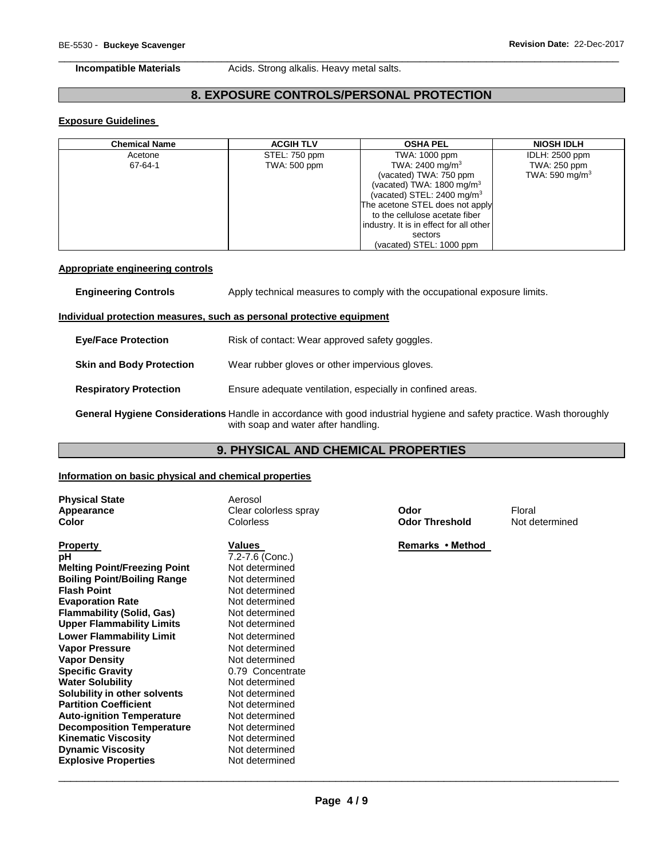**Incompatible Materials Acids. Strong alkalis. Heavy metal salts.** 

# **8. EXPOSURE CONTROLS/PERSONAL PROTECTION**

\_\_\_\_\_\_\_\_\_\_\_\_\_\_\_\_\_\_\_\_\_\_\_\_\_\_\_\_\_\_\_\_\_\_\_\_\_\_\_\_\_\_\_\_\_\_\_\_\_\_\_\_\_\_\_\_\_\_\_\_\_\_\_\_\_\_\_\_\_\_\_\_\_\_\_\_\_\_\_\_\_\_\_\_\_\_\_\_\_\_\_\_\_

# **Exposure Guidelines**

| <b>Chemical Name</b> | <b>ACGIH TLV</b>    | <b>OSHA PEL</b>                         | <b>NIOSH IDLH</b>          |
|----------------------|---------------------|-----------------------------------------|----------------------------|
| Acetone              | STEL: 750 ppm       | TWA: 1000 ppm                           | IDLH: 2500 ppm             |
| 67-64-1              | <b>TWA: 500 ppm</b> | TWA: 2400 mg/m <sup>3</sup>             | TWA: 250 ppm               |
|                      |                     | (vacated) TWA: 750 ppm                  | TWA: 590 mg/m <sup>3</sup> |
|                      |                     | (vacated) TWA: $1800 \text{ mg/m}^3$    |                            |
|                      |                     | (vacated) STEL: $2400 \text{ mg/m}^3$   |                            |
|                      |                     | The acetone STEL does not apply         |                            |
|                      |                     | to the cellulose acetate fiber          |                            |
|                      |                     | industry. It is in effect for all other |                            |
|                      |                     | sectors                                 |                            |
|                      |                     | (vacated) STEL: 1000 ppm                |                            |

### **Appropriate engineering controls**

| <b>Engineering Controls</b>     | Apply technical measures to comply with the occupational exposure limits.                                                                                    |  |
|---------------------------------|--------------------------------------------------------------------------------------------------------------------------------------------------------------|--|
|                                 | Individual protection measures, such as personal protective equipment                                                                                        |  |
| <b>Eve/Face Protection</b>      | Risk of contact: Wear approved safety goggles.                                                                                                               |  |
| <b>Skin and Body Protection</b> | Wear rubber gloves or other impervious gloves.                                                                                                               |  |
| <b>Respiratory Protection</b>   | Ensure adequate ventilation, especially in confined areas.                                                                                                   |  |
|                                 | General Hygiene Considerations Handle in accordance with good industrial hygiene and safety practice. Wash thoroughly<br>with soap and water after handling. |  |

# **9. PHYSICAL AND CHEMICAL PROPERTIES**

### **Information on basic physical and chemical properties**

| <b>Physical State</b><br>Appearance<br>Color | Aerosol<br>Clear colorless spray<br>Colorless | Odor<br><b>Odor Threshold</b> | Floral<br>Not determined |
|----------------------------------------------|-----------------------------------------------|-------------------------------|--------------------------|
| <b>Property</b>                              | Values                                        | Remarks • Method              |                          |
| рH                                           | 7.2-7.6 (Conc.)                               |                               |                          |
| <b>Melting Point/Freezing Point</b>          | Not determined                                |                               |                          |
| <b>Boiling Point/Boiling Range</b>           | Not determined                                |                               |                          |
| <b>Flash Point</b>                           | Not determined                                |                               |                          |
| <b>Evaporation Rate</b>                      | Not determined                                |                               |                          |
| Flammability (Solid, Gas)                    | Not determined                                |                               |                          |
| <b>Upper Flammability Limits</b>             | Not determined                                |                               |                          |
| Lower Flammability Limit                     | Not determined                                |                               |                          |
| <b>Vapor Pressure</b>                        | Not determined                                |                               |                          |
| <b>Vapor Density</b>                         | Not determined                                |                               |                          |
| <b>Specific Gravity</b>                      | 0.79 Concentrate                              |                               |                          |
| <b>Water Solubility</b>                      | Not determined                                |                               |                          |
| Solubility in other solvents                 | Not determined                                |                               |                          |
| <b>Partition Coefficient</b>                 | Not determined                                |                               |                          |
| Auto-ignition Temperature                    | Not determined                                |                               |                          |
| <b>Decomposition Temperature</b>             | Not determined                                |                               |                          |
| <b>Kinematic Viscosity</b>                   | Not determined                                |                               |                          |
| <b>Dynamic Viscosity</b>                     | Not determined                                |                               |                          |
| <b>Explosive Properties</b>                  | Not determined                                |                               |                          |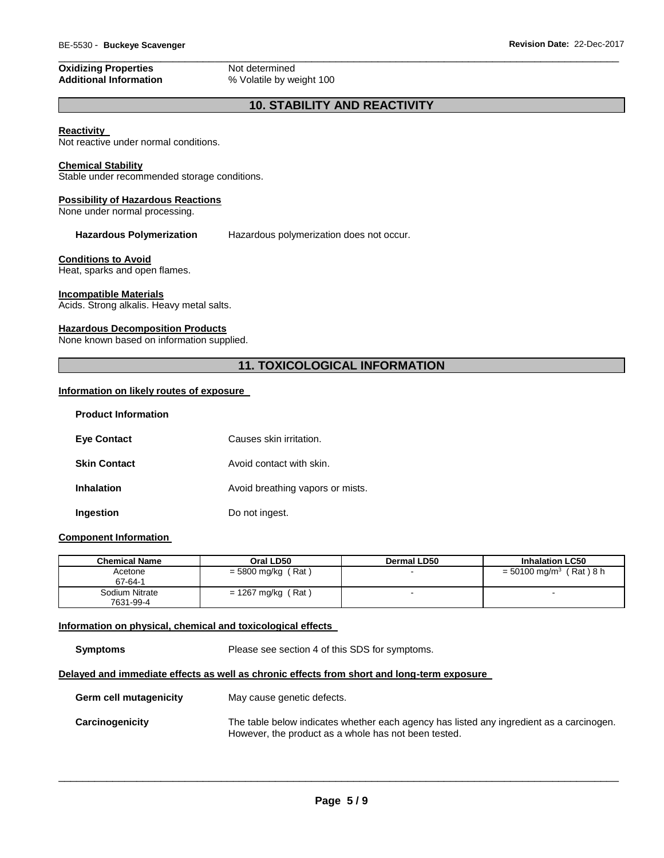# **Oxidizing Properties Not determined**<br> **Additional Information We Volatile by we**

\_\_\_\_\_\_\_\_\_\_\_\_\_\_\_\_\_\_\_\_\_\_\_\_\_\_\_\_\_\_\_\_\_\_\_\_\_\_\_\_\_\_\_\_\_\_\_\_\_\_\_\_\_\_\_\_\_\_\_\_\_\_\_\_\_\_\_\_\_\_\_\_\_\_\_\_\_\_\_\_\_\_\_\_\_\_\_\_\_\_\_\_\_ **Additional Information** % Volatile by weight 100

# **10. STABILITY AND REACTIVITY**

#### **Reactivity**

Not reactive under normal conditions.

# **Chemical Stability**

Stable under recommended storage conditions.

#### **Possibility of Hazardous Reactions**

None under normal processing.

**Hazardous Polymerization** Hazardous polymerization does not occur.

#### **Conditions to Avoid**

Heat, sparks and open flames.

#### **Incompatible Materials**

Acids. Strong alkalis. Heavy metal salts.

#### **Hazardous Decomposition Products**

None known based on information supplied.

# **11. TOXICOLOGICAL INFORMATION**

#### **Information on likely routes of exposure**

| <b>Product Information</b> |                                  |
|----------------------------|----------------------------------|
| <b>Eye Contact</b>         | Causes skin irritation.          |
| <b>Skin Contact</b>        | Avoid contact with skin.         |
| <b>Inhalation</b>          | Avoid breathing vapors or mists. |
| Ingestion                  | Do not ingest.                   |

#### **Component Information**

| <b>Chemical Name</b>        | Oral LD50            | Dermal LD50 | <b>Inhalation LC50</b>               |
|-----------------------------|----------------------|-------------|--------------------------------------|
| Acetone<br>67-64-1          | $= 5800$ mg/kg (Rat) |             | = 50100 mg/m <sup>3</sup> (Rat ) 8 h |
| Sodium Nitrate<br>7631-99-4 | $= 1267$ mg/kg (Rat) |             |                                      |

#### **Information on physical, chemical and toxicological effects**

**Symptoms** Please see section 4 of this SDS for symptoms.

# **Delayed and immediate effects as well as chronic effects from short and long-term exposure**

| Germ cell mutagenicity | May cause genetic defects.                                                                                                                       |
|------------------------|--------------------------------------------------------------------------------------------------------------------------------------------------|
| Carcinogenicity        | The table below indicates whether each agency has listed any ingredient as a carcinogen.<br>However, the product as a whole has not been tested. |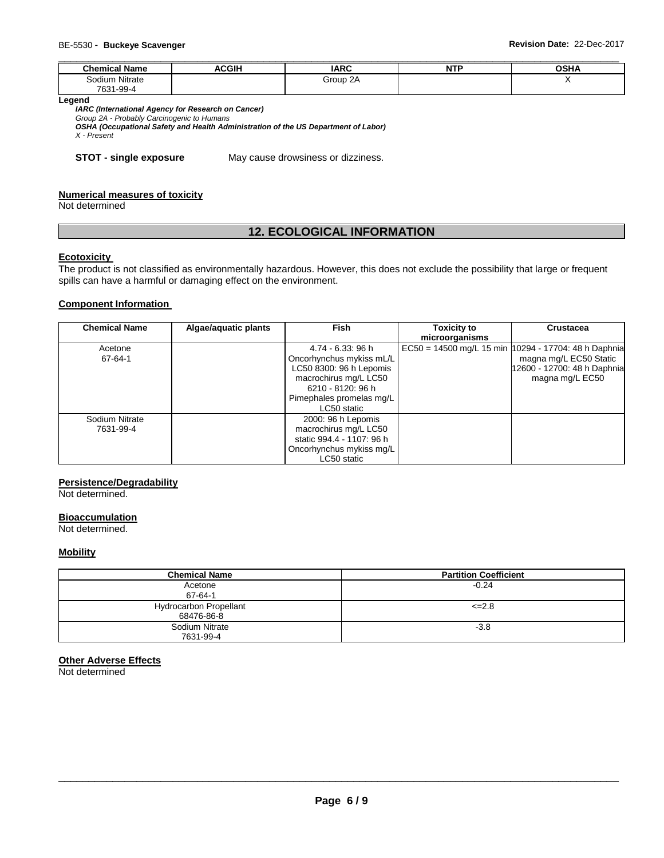| <b>Chemical Name</b> | <b>ACGIH</b> | <b>IARC</b> | <b>NTP</b> | <b>OSHA</b> |
|----------------------|--------------|-------------|------------|-------------|
| Sodium Nitrate       |              | Group 2A    |            |             |
| 7631-99-4            |              |             |            |             |

**Legend** 

*IARC (International Agency for Research on Cancer)*

*Group 2A - Probably Carcinogenic to Humans* 

*OSHA (Occupational Safety and Health Administration of the US Department of Labor) X - Present* 

**STOT - single exposure** May cause drowsiness or dizziness.

#### **Numerical measures of toxicity**

Not determined

# **12. ECOLOGICAL INFORMATION**

#### **Ecotoxicity**

The product is not classified as environmentally hazardous. However, this does not exclude the possibility that large or frequent spills can have a harmful or damaging effect on the environment.

### **Component Information**

| <b>Chemical Name</b>        | Algae/aquatic plants | <b>Fish</b>                                                                                                                                                       | <b>Toxicity to</b><br>microorganisms | <b>Crustacea</b>                                                                                                                   |
|-----------------------------|----------------------|-------------------------------------------------------------------------------------------------------------------------------------------------------------------|--------------------------------------|------------------------------------------------------------------------------------------------------------------------------------|
| Acetone<br>67-64-1          |                      | 4.74 - 6.33: 96 h<br>Oncorhynchus mykiss mL/L<br>LC50 8300: 96 h Lepomis<br>macrochirus mg/L LC50<br>6210 - 8120: 96 h<br>Pimephales promelas mg/L<br>LC50 static |                                      | EC50 = 14500 mg/L 15 min   10294 - 17704: 48 h Daphnia<br>magna mg/L EC50 Static<br>12600 - 12700: 48 h Daphnia<br>magna mg/L EC50 |
| Sodium Nitrate<br>7631-99-4 |                      | 2000: 96 h Lepomis<br>macrochirus mg/L LC50<br>static 994.4 - 1107: 96 h<br>Oncorhynchus mykiss mg/L<br>LC50 static                                               |                                      |                                                                                                                                    |

# **Persistence/Degradability**

Not determined.

#### **Bioaccumulation**

Not determined.

#### **Mobility**

| <b>Chemical Name</b>                        | <b>Partition Coefficient</b> |
|---------------------------------------------|------------------------------|
| Acetone<br>67-64-1                          | $-0.24$                      |
| <b>Hydrocarbon Propellant</b><br>68476-86-8 | $\leq$ 2.8                   |
| Sodium Nitrate<br>7631-99-4                 | $-3.8$                       |

#### **Other Adverse Effects**

Not determined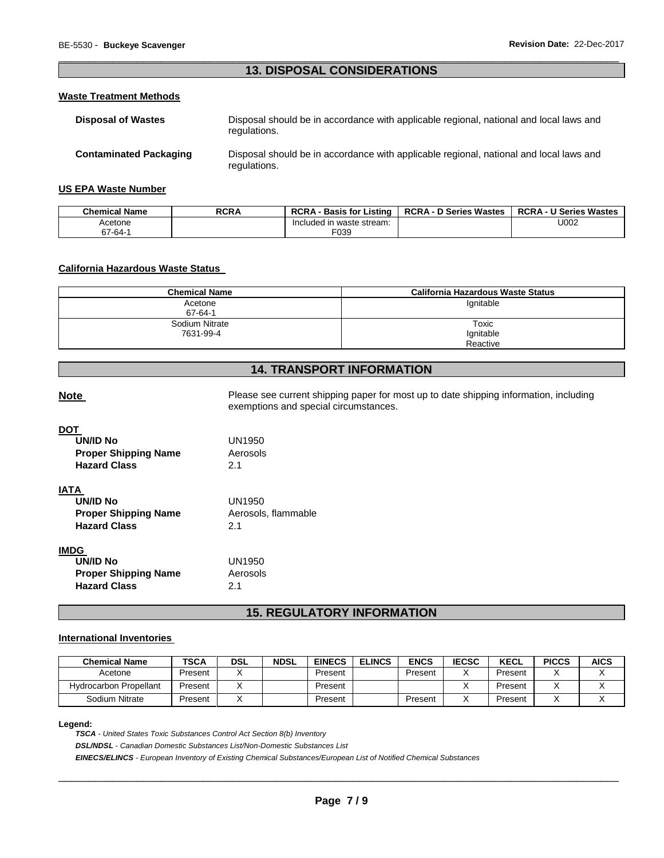# \_\_\_\_\_\_\_\_\_\_\_\_\_\_\_\_\_\_\_\_\_\_\_\_\_\_\_\_\_\_\_\_\_\_\_\_\_\_\_\_\_\_\_\_\_\_\_\_\_\_\_\_\_\_\_\_\_\_\_\_\_\_\_\_\_\_\_\_\_\_\_\_\_\_\_\_\_\_\_\_\_\_\_\_\_\_\_\_\_\_\_\_\_ **13. DISPOSAL CONSIDERATIONS**

#### **Waste Treatment Methods**

| <b>Disposal of Wastes</b>     | Disposal should be in accordance with applicable regional, national and local laws and<br>regulations. |
|-------------------------------|--------------------------------------------------------------------------------------------------------|
| <b>Contaminated Packaging</b> | Disposal should be in accordance with applicable regional, national and local laws and<br>regulations. |

#### **US EPA Waste Number**

| <b>Chemical Name</b> | <b>RCRA</b> | <b>RCRA</b><br>· Basis for Listing | <b>RCRA - D Series Wastes</b> | <b>RCRA - U Series Wastes</b> |
|----------------------|-------------|------------------------------------|-------------------------------|-------------------------------|
| Acetone              |             | Included in waste stream:          |                               | U002                          |
| 67-64-1              |             | F039                               |                               |                               |

### **California Hazardous Waste Status**

| <b>Chemical Name</b> | California Hazardous Waste Status |
|----------------------|-----------------------------------|
| Acetone              | lgnitable                         |
| 67-64-1              |                                   |
| Sodium Nitrate       | Toxic                             |
| 7631-99-4            | Ignitable                         |
|                      | Reactive                          |

# **14. TRANSPORT INFORMATION**

Note **Note Please see current shipping paper for most up to date shipping information, including** exemptions and special circumstances.

| <b>UN/ID No</b><br><b>Proper Shipping Name</b><br><b>Hazard Class</b>                | UN1950<br>Aerosols<br>21            |
|--------------------------------------------------------------------------------------|-------------------------------------|
| IATA<br><b>UN/ID No</b><br><b>Proper Shipping Name</b><br><b>Hazard Class</b>        | UN1950<br>Aerosols, flammable<br>21 |
| <b>IMDG</b><br><b>UN/ID No</b><br><b>Proper Shipping Name</b><br><b>Hazard Class</b> | UN1950<br>Aerosols<br>21            |

# **15. REGULATORY INFORMATION**

# **International Inventories**

| <b>Chemical Name</b>          | <b>TSCA</b> | <b>DSL</b> | <b>NDSL</b> | <b>EINECS</b> | <b>ELINCS</b> | <b>ENCS</b> | <b>IECSC</b> | <b>KECL</b> | <b>PICCS</b> | <b>AICS</b> |
|-------------------------------|-------------|------------|-------------|---------------|---------------|-------------|--------------|-------------|--------------|-------------|
| Acetone                       | Present     |            |             | Present       |               | Present     |              | Present     |              |             |
| <b>Hydrocarbon Propellant</b> | Present     |            |             | Present       |               |             |              | Present     |              |             |
| Sodium Nitrate                | Present     |            |             | Present       |               | Present     |              | Present     |              |             |

#### **Legend:**

*TSCA - United States Toxic Substances Control Act Section 8(b) Inventory DSL/NDSL - Canadian Domestic Substances List/Non-Domestic Substances List EINECS/ELINCS - European Inventory of Existing Chemical Substances/European List of Notified Chemical Substances*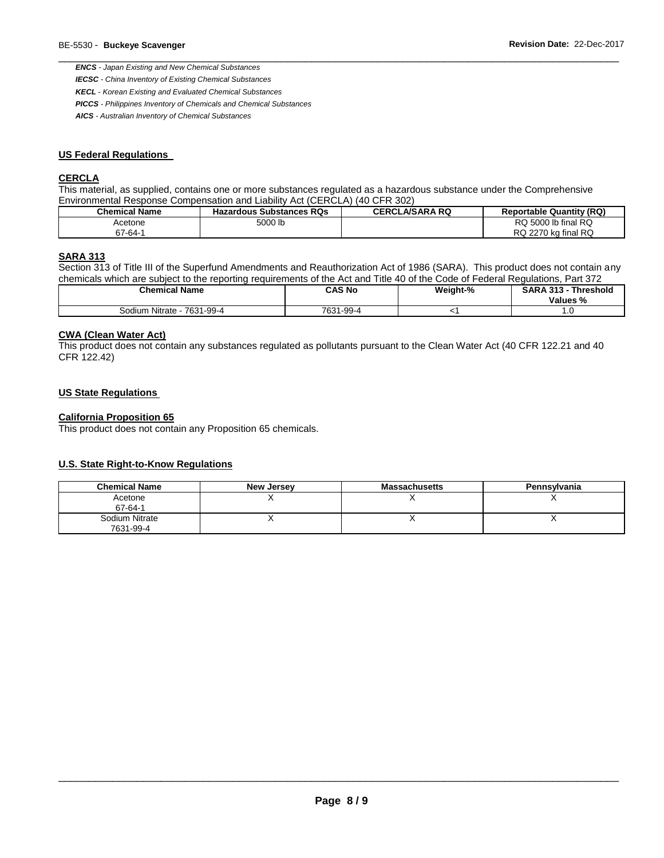*ENCS - Japan Existing and New Chemical Substances* 

*IECSC - China Inventory of Existing Chemical Substances* 

*KECL - Korean Existing and Evaluated Chemical Substances* 

*PICCS - Philippines Inventory of Chemicals and Chemical Substances* 

*AICS - Australian Inventory of Chemical Substances* 

### **US Federal Regulations**

#### **CERCLA**

This material, as supplied, contains one or more substances regulated as a hazardous substance under the Comprehensive Environmental Response Compensation and Liability Act (CERCLA) (40 CFR 302)

| <b>Chemical Name</b> | <b>Hazardous Substances RQs</b> | <b>CERCLA/SARA RQ</b> | <b>Reportable Quantity (RQ)</b> |
|----------------------|---------------------------------|-----------------------|---------------------------------|
| Acetone              | 5000 lb                         |                       | RQ<br>RQ 5000 lb final          |
| $67 - 64 - 4$        |                                 |                       | RQ 2270 kg final RQ             |

\_\_\_\_\_\_\_\_\_\_\_\_\_\_\_\_\_\_\_\_\_\_\_\_\_\_\_\_\_\_\_\_\_\_\_\_\_\_\_\_\_\_\_\_\_\_\_\_\_\_\_\_\_\_\_\_\_\_\_\_\_\_\_\_\_\_\_\_\_\_\_\_\_\_\_\_\_\_\_\_\_\_\_\_\_\_\_\_\_\_\_\_\_

#### **SARA 313**

Section 313 of Title III of the Superfund Amendments and Reauthorization Act of 1986 (SARA). This product does not contain any chemicals which are subject to the reporting requirements of the Act and Title 40 of the Code of Federal Regulations, Part 372

| <b>Chemical Name</b>            | CAS No             | Weight-% | <b>SARA 313 -</b><br>Threshold<br>Values % |
|---------------------------------|--------------------|----------|--------------------------------------------|
| Sodium Nitrate<br>, - 7631-99-4 | 1-99-4<br>$7631 -$ |          | ب                                          |

#### **CWA (Clean Water Act)**

This product does not contain any substances regulated as pollutants pursuant to the Clean Water Act (40 CFR 122.21 and 40 CFR 122.42)

## **US State Regulations**

### **California Proposition 65**

This product does not contain any Proposition 65 chemicals.

# **U.S. State Right-to-Know Regulations**

| <b>Chemical Name</b>        | New Jersey | <b>Massachusetts</b> | Pennsylvania |
|-----------------------------|------------|----------------------|--------------|
| Acetone<br>67-64-1          |            |                      |              |
| Sodium Nitrate<br>7631-99-4 |            |                      |              |